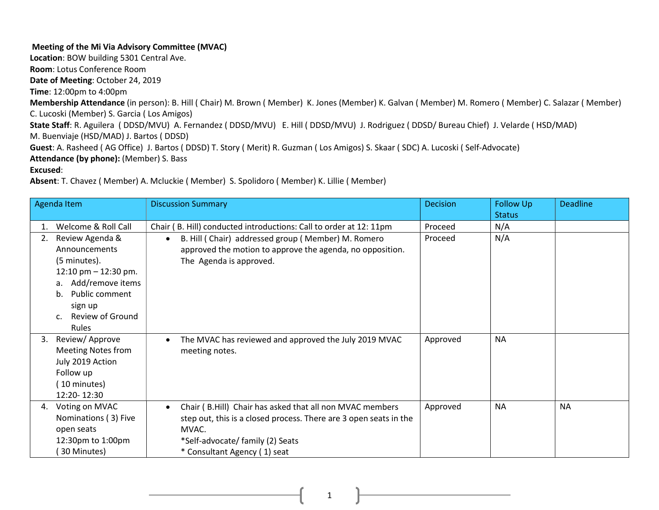## Meeting of the Mi Via Advisory Committee (MVAC)

Location: BOW building 5301 Central Ave.

Room: Lotus Conference Room

Date of Meeting: October 24, 2019

Time: 12:00pm to 4:00pm

Membership Attendance (in person): B. Hill ( Chair) M. Brown ( Member) K. Jones (Member) K. Galvan ( Member) M. Romero ( Member) C. Salazar ( Member) C. Lucoski (Member) S. Garcia ( Los Amigos)

State Staff: R. Aguilera ( DDSD/MVU) A. Fernandez ( DDSD/MVU) E. Hill ( DDSD/MVU) J. Rodriguez ( DDSD/ Bureau Chief) J. Velarde ( HSD/MAD)

M. Buenviaje (HSD/MAD) J. Bartos ( DDSD)

Guest: A. Rasheed ( AG Office) J. Bartos ( DDSD) T. Story ( Merit) R. Guzman ( Los Amigos) S. Skaar ( SDC) A. Lucoski ( Self-Advocate)

Attendance (by phone): (Member) S. Bass

Excused:

Absent: T. Chavez ( Member) A. Mcluckie ( Member) S. Spolidoro ( Member) K. Lillie ( Member)

| Agenda Item |                                                                                                                                                                            | <b>Discussion Summary</b>                                                                                                                                                                                  | <b>Decision</b> | <b>Follow Up</b> | <b>Deadline</b> |
|-------------|----------------------------------------------------------------------------------------------------------------------------------------------------------------------------|------------------------------------------------------------------------------------------------------------------------------------------------------------------------------------------------------------|-----------------|------------------|-----------------|
|             |                                                                                                                                                                            |                                                                                                                                                                                                            |                 | <b>Status</b>    |                 |
| 1.          | Welcome & Roll Call                                                                                                                                                        | Chair (B. Hill) conducted introductions: Call to order at 12: 11pm                                                                                                                                         | Proceed         | N/A              |                 |
| 2.          | Review Agenda &<br>Announcements<br>(5 minutes).<br>12:10 pm $-$ 12:30 pm.<br>Add/remove items<br>a.<br>Public comment<br>b.<br>sign up<br>Review of Ground<br>c.<br>Rules | B. Hill (Chair) addressed group (Member) M. Romero<br>approved the motion to approve the agenda, no opposition.<br>The Agenda is approved.                                                                 | Proceed         | N/A              |                 |
| 3.          | Review/Approve<br><b>Meeting Notes from</b><br>July 2019 Action<br>Follow up<br>(10 minutes)<br>12:20-12:30                                                                | The MVAC has reviewed and approved the July 2019 MVAC<br>meeting notes.                                                                                                                                    | Approved        | <b>NA</b>        |                 |
| 4.          | Voting on MVAC<br>Nominations (3) Five<br>open seats<br>12:30pm to 1:00pm<br>30 Minutes)                                                                                   | Chair (B.Hill) Chair has asked that all non MVAC members<br>step out, this is a closed process. There are 3 open seats in the<br>MVAC.<br>*Self-advocate/ family (2) Seats<br>* Consultant Agency (1) seat | Approved        | <b>NA</b>        | <b>NA</b>       |

1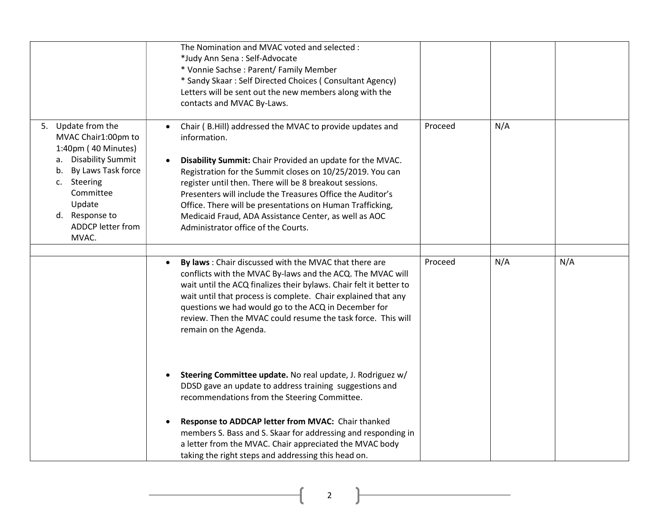|                                                                                                                                                                                                            | The Nomination and MVAC voted and selected :<br>*Judy Ann Sena: Self-Advocate<br>* Vonnie Sachse: Parent/ Family Member<br>* Sandy Skaar: Self Directed Choices (Consultant Agency)<br>Letters will be sent out the new members along with the<br>contacts and MVAC By-Laws.                                                                                                                                                                                                                                       |         |     |     |
|------------------------------------------------------------------------------------------------------------------------------------------------------------------------------------------------------------|--------------------------------------------------------------------------------------------------------------------------------------------------------------------------------------------------------------------------------------------------------------------------------------------------------------------------------------------------------------------------------------------------------------------------------------------------------------------------------------------------------------------|---------|-----|-----|
| 5. Update from the<br>MVAC Chair1:00pm to<br>1:40pm (40 Minutes)<br>a. Disability Summit<br>By Laws Task force<br>b.<br>c. Steering<br>Committee<br>Update<br>d. Response to<br>ADDCP letter from<br>MVAC. | Chair (B.Hill) addressed the MVAC to provide updates and<br>$\bullet$<br>information.<br>Disability Summit: Chair Provided an update for the MVAC.<br>$\bullet$<br>Registration for the Summit closes on 10/25/2019. You can<br>register until then. There will be 8 breakout sessions.<br>Presenters will include the Treasures Office the Auditor's<br>Office. There will be presentations on Human Trafficking,<br>Medicaid Fraud, ADA Assistance Center, as well as AOC<br>Administrator office of the Courts. | Proceed | N/A |     |
|                                                                                                                                                                                                            | By laws: Chair discussed with the MVAC that there are<br>conflicts with the MVAC By-laws and the ACQ. The MVAC will<br>wait until the ACQ finalizes their bylaws. Chair felt it better to<br>wait until that process is complete. Chair explained that any<br>questions we had would go to the ACQ in December for<br>review. Then the MVAC could resume the task force. This will<br>remain on the Agenda.                                                                                                        | Proceed | N/A | N/A |
|                                                                                                                                                                                                            | Steering Committee update. No real update, J. Rodriguez w/<br>$\bullet$<br>DDSD gave an update to address training suggestions and<br>recommendations from the Steering Committee.<br>Response to ADDCAP letter from MVAC: Chair thanked<br>members S. Bass and S. Skaar for addressing and responding in<br>a letter from the MVAC. Chair appreciated the MVAC body<br>taking the right steps and addressing this head on.                                                                                        |         |     |     |

2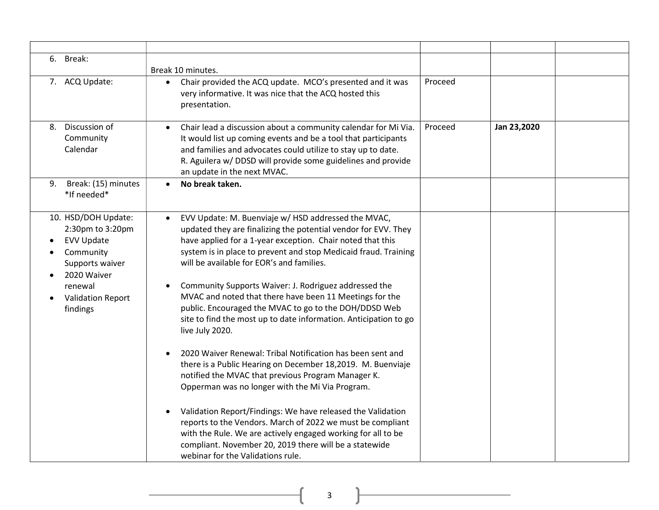| 6.<br>Break:                                                                                                                                                   | Break 10 minutes.                                                                                                                                                                                                                                                                                                                                                                                                                                                                                                                                                                                                                                                                                                                                                                                                                                                                                                                                                                                                                                                                                                                   |         |             |  |
|----------------------------------------------------------------------------------------------------------------------------------------------------------------|-------------------------------------------------------------------------------------------------------------------------------------------------------------------------------------------------------------------------------------------------------------------------------------------------------------------------------------------------------------------------------------------------------------------------------------------------------------------------------------------------------------------------------------------------------------------------------------------------------------------------------------------------------------------------------------------------------------------------------------------------------------------------------------------------------------------------------------------------------------------------------------------------------------------------------------------------------------------------------------------------------------------------------------------------------------------------------------------------------------------------------------|---------|-------------|--|
| 7. ACQ Update:                                                                                                                                                 | Chair provided the ACQ update. MCO's presented and it was<br>$\bullet$<br>very informative. It was nice that the ACQ hosted this<br>presentation.                                                                                                                                                                                                                                                                                                                                                                                                                                                                                                                                                                                                                                                                                                                                                                                                                                                                                                                                                                                   | Proceed |             |  |
| Discussion of<br>8.<br>Community<br>Calendar                                                                                                                   | Chair lead a discussion about a community calendar for Mi Via.<br>$\bullet$<br>It would list up coming events and be a tool that participants<br>and families and advocates could utilize to stay up to date.<br>R. Aguilera w/ DDSD will provide some guidelines and provide<br>an update in the next MVAC.                                                                                                                                                                                                                                                                                                                                                                                                                                                                                                                                                                                                                                                                                                                                                                                                                        | Proceed | Jan 23,2020 |  |
| Break: (15) minutes<br>9.<br>*If needed*                                                                                                                       | No break taken.                                                                                                                                                                                                                                                                                                                                                                                                                                                                                                                                                                                                                                                                                                                                                                                                                                                                                                                                                                                                                                                                                                                     |         |             |  |
| 10. HSD/DOH Update:<br>2:30pm to 3:20pm<br><b>EVV Update</b><br>Community<br>Supports waiver<br>2020 Waiver<br>renewal<br><b>Validation Report</b><br>findings | EVV Update: M. Buenviaje w/ HSD addressed the MVAC,<br>$\bullet$<br>updated they are finalizing the potential vendor for EVV. They<br>have applied for a 1-year exception. Chair noted that this<br>system is in place to prevent and stop Medicaid fraud. Training<br>will be available for EOR's and families.<br>Community Supports Waiver: J. Rodriguez addressed the<br>MVAC and noted that there have been 11 Meetings for the<br>public. Encouraged the MVAC to go to the DOH/DDSD Web<br>site to find the most up to date information. Anticipation to go<br>live July 2020.<br>2020 Waiver Renewal: Tribal Notification has been sent and<br>there is a Public Hearing on December 18,2019. M. Buenviaje<br>notified the MVAC that previous Program Manager K.<br>Opperman was no longer with the Mi Via Program.<br>Validation Report/Findings: We have released the Validation<br>$\bullet$<br>reports to the Vendors. March of 2022 we must be compliant<br>with the Rule. We are actively engaged working for all to be<br>compliant. November 20, 2019 there will be a statewide<br>webinar for the Validations rule. |         |             |  |

 $\begin{picture}(180,10) \put(0,0){\vector(1,0){100}} \put(15,0){\vector(1,0){100}} \put(15,0){\vector(1,0){100}} \put(15,0){\vector(1,0){100}} \put(15,0){\vector(1,0){100}} \put(15,0){\vector(1,0){100}} \put(15,0){\vector(1,0){100}} \put(15,0){\vector(1,0){100}} \put(15,0){\vector(1,0){100}} \put(15,0){\vector(1,0){100}} \put(15,0){\vector(1,0){100}}$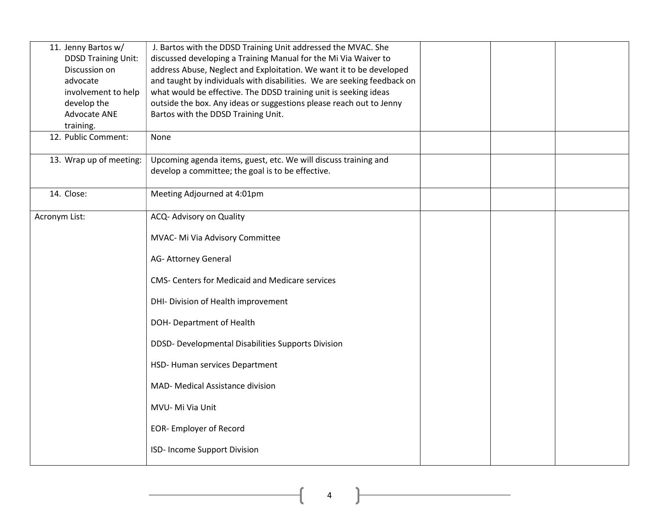| 11. Jenny Bartos w/        | J. Bartos with the DDSD Training Unit addressed the MVAC. She                                                                                  |  |  |
|----------------------------|------------------------------------------------------------------------------------------------------------------------------------------------|--|--|
| <b>DDSD Training Unit:</b> | discussed developing a Training Manual for the Mi Via Waiver to                                                                                |  |  |
| Discussion on<br>advocate  | address Abuse, Neglect and Exploitation. We want it to be developed<br>and taught by individuals with disabilities. We are seeking feedback on |  |  |
| involvement to help        | what would be effective. The DDSD training unit is seeking ideas                                                                               |  |  |
| develop the                | outside the box. Any ideas or suggestions please reach out to Jenny                                                                            |  |  |
| Advocate ANE               | Bartos with the DDSD Training Unit.                                                                                                            |  |  |
| training.                  |                                                                                                                                                |  |  |
| 12. Public Comment:        | None                                                                                                                                           |  |  |
| 13. Wrap up of meeting:    | Upcoming agenda items, guest, etc. We will discuss training and                                                                                |  |  |
|                            | develop a committee; the goal is to be effective.                                                                                              |  |  |
| 14. Close:                 | Meeting Adjourned at 4:01pm                                                                                                                    |  |  |
|                            |                                                                                                                                                |  |  |
| Acronym List:              | ACQ- Advisory on Quality                                                                                                                       |  |  |
|                            | MVAC- Mi Via Advisory Committee                                                                                                                |  |  |
|                            | AG- Attorney General                                                                                                                           |  |  |
|                            | <b>CMS- Centers for Medicaid and Medicare services</b>                                                                                         |  |  |
|                            | DHI- Division of Health improvement                                                                                                            |  |  |
|                            | DOH-Department of Health                                                                                                                       |  |  |
|                            | DDSD- Developmental Disabilities Supports Division                                                                                             |  |  |
|                            | HSD-Human services Department                                                                                                                  |  |  |
|                            | MAD- Medical Assistance division                                                                                                               |  |  |
|                            | MVU- Mi Via Unit                                                                                                                               |  |  |
|                            | <b>EOR-Employer of Record</b>                                                                                                                  |  |  |
|                            | ISD- Income Support Division                                                                                                                   |  |  |

 $\begin{picture}(180,10) \put(0,0){\vector(1,0){100}} \put(15,0){\vector(1,0){100}} \put(15,0){\vector(1,0){100}} \put(15,0){\vector(1,0){100}} \put(15,0){\vector(1,0){100}} \put(15,0){\vector(1,0){100}} \put(15,0){\vector(1,0){100}} \put(15,0){\vector(1,0){100}} \put(15,0){\vector(1,0){100}} \put(15,0){\vector(1,0){100}} \put(15,0){\vector(1,0){100}}$